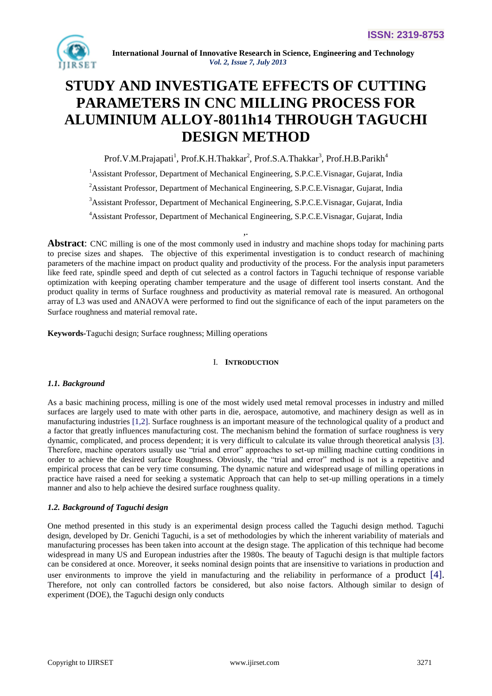

# **STUDY AND INVESTIGATE EFFECTS OF CUTTING PARAMETERS IN CNC MILLING PROCESS FOR ALUMINIUM ALLOY-8011h14 THROUGH TAGUCHI DESIGN METHOD**

Prof.V.M.Prajapati<sup>1</sup>, Prof.K.H.Thakkar<sup>2</sup>, Prof.S.A.Thakkar<sup>3</sup>, Prof.H.B.Parikh<sup>4</sup>

<sup>1</sup>Assistant Professor, Department of Mechanical Engineering, S.P.C.E.Visnagar, Gujarat, India

<sup>2</sup> Assistant Professor, Department of Mechanical Engineering, S.P.C.E.Visnagar, Gujarat, India

<sup>3</sup>Assistant Professor, Department of Mechanical Engineering, S.P.C.E.Visnagar, Gujarat, India

<sup>4</sup>Assistant Professor, Department of Mechanical Engineering, S.P.C.E.Visnagar, Gujarat, India *,.*

**Abstract:** CNC milling is one of the most commonly used in industry and machine shops today for machining parts to precise sizes and shapes. The objective of this experimental investigation is to conduct research of machining parameters of the machine impact on product quality and productivity of the process. For the analysis input parameters like feed rate, spindle speed and depth of cut selected as a control factors in Taguchi technique of response variable optimization with keeping operating chamber temperature and the usage of different tool inserts constant. And the product quality in terms of Surface roughness and productivity as material removal rate is measured. An orthogonal array of L3 was used and ANAOVA were performed to find out the significance of each of the input parameters on the Surface roughness and material removal rate.

**Keywords***-*Taguchi design; Surface roughness; Milling operations

#### I. **INTRODUCTION**

#### *1.1. Background*

As a basic machining process, milling is one of the most widely used metal removal processes in industry and milled surfaces are largely used to mate with other parts in die, aerospace, automotive, and machinery design as well as in manufacturing industries [1,2]. Surface roughness is an important measure of the technological quality of a product and a factor that greatly influences manufacturing cost. The mechanism behind the formation of surface roughness is very dynamic, complicated, and process dependent; it is very difficult to calculate its value through theoretical analysis [3]. Therefore, machine operators usually use "trial and error" approaches to set-up milling machine cutting conditions in order to achieve the desired surface Roughness. Obviously, the "trial and error" method is not is a repetitive and empirical process that can be very time consuming. The dynamic nature and widespread usage of milling operations in practice have raised a need for seeking a systematic Approach that can help to set-up milling operations in a timely manner and also to help achieve the desired surface roughness quality.

# *1.2. Background of Taguchi design*

One method presented in this study is an experimental design process called the Taguchi design method. Taguchi design, developed by Dr. Genichi Taguchi, is a set of methodologies by which the inherent variability of materials and manufacturing processes has been taken into account at the design stage. The application of this technique had become widespread in many US and European industries after the 1980s. The beauty of Taguchi design is that multiple factors can be considered at once. Moreover, it seeks nominal design points that are insensitive to variations in production and user environments to improve the yield in manufacturing and the reliability in performance of a product [4]. Therefore, not only can controlled factors be considered, but also noise factors. Although similar to design of experiment (DOE), the Taguchi design only conducts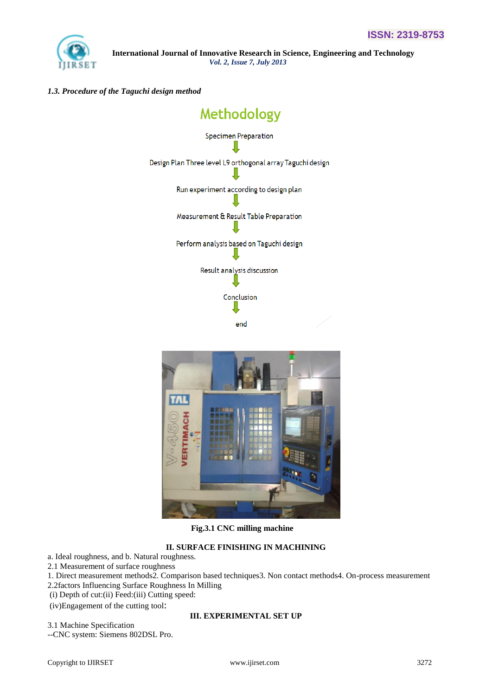

## *1.3. Procedure of the Taguchi design method*





 **Fig.3.1 CNC milling machine**

# **II. SURFACE FINISHING IN MACHINING**

a. Ideal roughness, and b. Natural roughness.

- 2.1 Measurement of surface roughness
- 1. Direct measurement methods2. Comparison based techniques3. Non contact methods4. On-process measurement 2.2factors Influencing Surface Roughness In Milling
- 
- (i) Depth of cut:(ii) Feed:(iii) Cutting speed:

(iv)Engagement of the cutting tool:

3.1 Machine Specification

--CNC system: Siemens 802DSL Pro.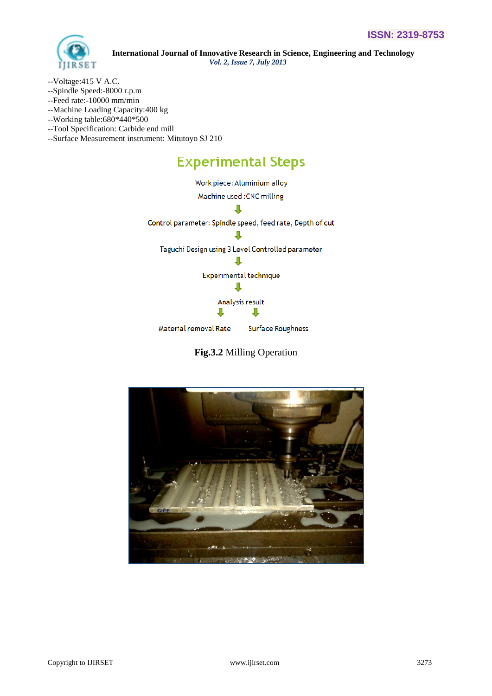

- --Voltage:415 V A.C.
- --Spindle Speed:-8000 r.p.m
- --Feed rate:-10000 mm/min
- --Machine Loading Capacity:400 kg
- --Working table:680\*440\*500
- --Tool Specification: Carbide end mill
- --Surface Measurement instrument: Mitutoyo SJ 210

# **Experimental Steps**





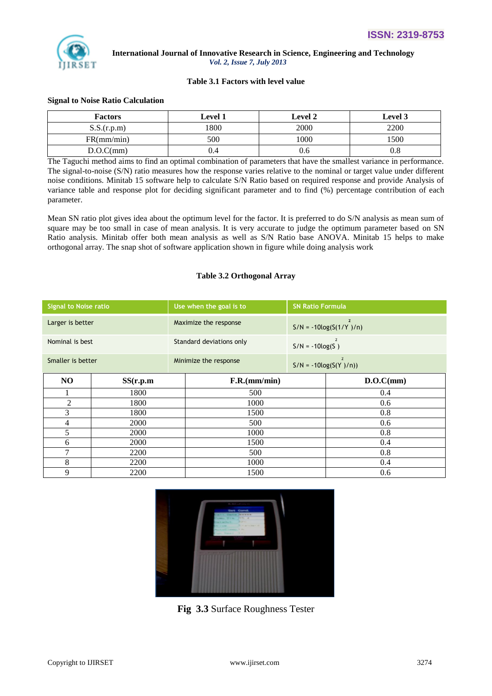

### **Table 3.1 Factors with level value**

#### **Signal to Noise Ratio Calculation**

| <b>Factors</b> | <b>Level 1</b> | <b>Level 2</b> | <b>Level 3</b> |
|----------------|----------------|----------------|----------------|
| S.S.(r.p.m)    | 1800           | 2000           | 2200           |
| FR(mm/min)     | 500            | 1000           | 1500           |
| D.O.C(mm)      | J.4            | 0.6            | v.ð            |

The Taguchi method aims to find an optimal combination of parameters that have the smallest variance in performance. The signal-to-noise (S/N) ratio measures how the response varies relative to the nominal or target value under different noise conditions. Minitab 15 software help to calculate S/N Ratio based on required response and provide Analysis of variance table and response plot for deciding significant parameter and to find (%) percentage contribution of each parameter.

Mean SN ratio plot gives idea about the optimum level for the factor. It is preferred to do S/N analysis as mean sum of square may be too small in case of mean analysis. It is very accurate to judge the optimum parameter based on SN Ratio analysis. Minitab offer both mean analysis as well as S/N Ratio base ANOVA. Minitab 15 helps to make orthogonal array. The snap shot of software application shown in figure while doing analysis work

## **Table 3.2 Orthogonal Array**

| <b>Signal to Noise ratio</b> |             |                          | Use when the goal is to | <b>SN Ratio Formula</b>                     |                                           |
|------------------------------|-------------|--------------------------|-------------------------|---------------------------------------------|-------------------------------------------|
| Larger is better             |             | Maximize the response    |                         | $\overline{2}$<br>$S/N = -10\log(S(1/Y))/n$ |                                           |
| Nominal is best              |             | Standard deviations only |                         | $\overline{z}$<br>$S/N = -10log(S)$         |                                           |
| Smaller is better            |             |                          | Minimize the response   |                                             | $\overline{2}$<br>$S/N = -10log(S(Y)/n))$ |
| N <sub>O</sub>               | SS(r.p.m)   |                          | F.R.(mm/min)            |                                             | D.O.C(mm)                                 |
|                              | 1800        |                          | 500                     |                                             | 0.4                                       |
| $\overline{2}$               | 1800        |                          | 1000                    |                                             | 0.6                                       |
| 3                            | 1800        |                          | 1500                    |                                             | 0.8                                       |
| 4                            | <b>2000</b> |                          | 500                     |                                             | 0.6                                       |
| 5                            | <b>2000</b> |                          | 1000                    |                                             | 0.8                                       |
| 6                            | 2000        |                          | 1500                    |                                             | 0.4                                       |
| $\overline{7}$               | 2200        |                          | 500                     |                                             | 0.8                                       |
| 8                            | 2200        |                          | 1000                    |                                             | 0.4                                       |
| 9                            | 2200        |                          | 1500                    |                                             | 0.6                                       |



**Fig 3.3** Surface Roughness Tester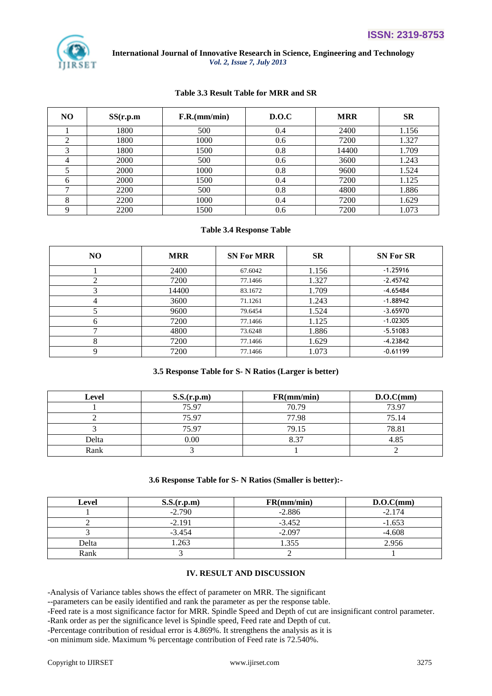

#### **Table 3.3 Result Table for MRR and SR**

| NO. | SS(r.p.m) | F.R.(mm/min) | D.O.C | <b>MRR</b> | <b>SR</b> |
|-----|-----------|--------------|-------|------------|-----------|
|     | 1800      | 500          | 0.4   | 2400       | 1.156     |
|     | 1800      | 1000         | 0.6   | 7200       | 1.327     |
|     | 1800      | 1500         | 0.8   | 14400      | 1.709     |
|     | 2000      | 500          | 0.6   | 3600       | 1.243     |
|     | 2000      | 1000         | 0.8   | 9600       | 1.524     |
|     | 2000      | 1500         | 0.4   | 7200       | 1.125     |
|     | 2200      | 500          | 0.8   | 4800       | 1.886     |
|     | 2200      | 1000         | 0.4   | 7200       | 1.629     |
|     | 2200      | 1500         | 0.6   | 7200       | 1.073     |

#### **Table 3.4 Response Table**

| NO.           | <b>MRR</b> | <b>SN For MRR</b> | <b>SR</b> | <b>SN For SR</b> |
|---------------|------------|-------------------|-----------|------------------|
|               | 2400       | 67.6042           | 1.156     | $-1.25916$       |
| ∍             | 7200       | 77.1466           | 1.327     | $-2.45742$       |
| 3             | 14400      | 83.1672           | 1.709     | $-4.65484$       |
| 4             | 3600       | 71.1261           | 1.243     | $-1.88942$       |
|               | 9600       | 79.6454           | 1.524     | $-3.65970$       |
| 6             | 7200       | 77.1466           | 1.125     | $-1.02305$       |
| $\mathcal{L}$ | 4800       | 73.6248           | 1.886     | $-5.51083$       |
| 8             | 7200       | 77.1466           | 1.629     | $-4.23842$       |
| q             | 7200       | 77.1466           | 1.073     | $-0.61199$       |

#### **3.5 Response Table for S- N Ratios (Larger is better)**

| <b>Level</b> | S.S.(r.p.m) | FR(mm/min) | D.O.C(mm) |
|--------------|-------------|------------|-----------|
|              | 75.97       | 70.79      | 73.97     |
|              | 75.97       | 77.98      | 75.14     |
|              | 75.97       | 79.15      | 78.81     |
| Delta        | 0.00        | 8.37       | 4.85      |
| Rank         |             |            |           |

#### **3.6 Response Table for S- N Ratios (Smaller is better):-**

| Level | S.S.(r.p.m) | FR(mm/min) | D.O.C(mm) |
|-------|-------------|------------|-----------|
|       | $-2.790$    | $-2.886$   | $-2.174$  |
|       | $-2.191$    | $-3.452$   | $-1.653$  |
|       | $-3.454$    | $-2.097$   | $-4.608$  |
| Delta | 1.263       | .355       | 2.956     |
| Rank  |             |            |           |

#### **IV. RESULT AND DISCUSSION**

-Analysis of Variance tables shows the effect of parameter on MRR. The significant

--parameters can be easily identified and rank the parameter as per the response table.

-Feed rate is a most significance factor for MRR. Spindle Speed and Depth of cut are insignificant control parameter.

-Rank order as per the significance level is Spindle speed, Feed rate and Depth of cut.

-Percentage contribution of residual error is 4.869%. It strengthens the analysis as it is

-on minimum side. Maximum % percentage contribution of Feed rate is 72.540%.